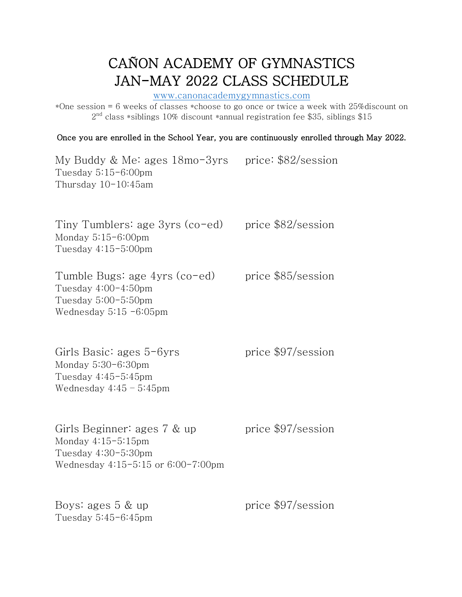## CAÑON ACADEMY OF GYMNASTICS JAN-MAY 2022 CLASS SCHEDULE www.canonacademygymnastics.com

\*One session = 6 weeks of classes \*choose to go once or twice a week with 25%discount on  $2<sup>nd</sup>$  class \*siblings 10% discount \*annual registration fee \$35, siblings \$15

Once you are enrolled in the School Year, you are continuously enrolled through May 2022.

My Buddy & Me: ages 18mo-3yrs price: \$82/session Tuesday 5:15-6:00pm Thursday 10-10:45am

Tiny Tumblers: age  $3yrs$  (co-ed) price  $$82/s$ ession Monday 5:15-6:00pm Tuesday 4:15-5:00pm

Tumble Bugs: age 4yrs (co-ed) price \$85/session Tuesday 4:00-4:50pm Tuesday 5:00-5:50pm Wednesday 5:15 -6:05pm

| Girls Basic: ages $5-6yrs$ | price \$97/session |
|----------------------------|--------------------|
| Monday $5:30-6:30$ pm      |                    |
| Tuesday $4:45-5:45$ pm     |                    |
| Wednesday $4:45 - 5:45$ pm |                    |

| Girls Beginner: ages $7 \&$ up          | price \$97/session |
|-----------------------------------------|--------------------|
| Monday $4:15-5:15$ pm                   |                    |
| Tuesday $4:30-5:30$ pm                  |                    |
| Wednesday $4:15-5:15$ or $6:00-7:00$ pm |                    |

| Boys: ages $5 \& up$ | price \$97/session |
|----------------------|--------------------|
| Tuesday 5:45-6:45pm  |                    |